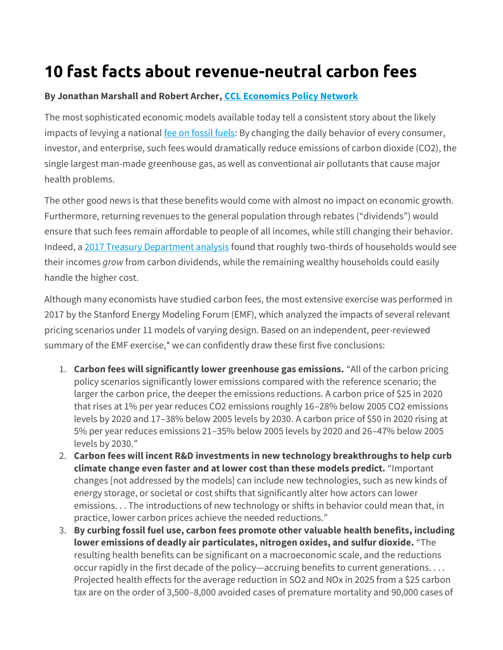## **10 fast facts about revenue-neutral carbon fees**

## **By Jonathan Marshall and Robert Archer, [CCL Economics Policy Network](https://community.citizensclimatelobby.org/policy-network-papers/economics-policy-network/)**

The most sophisticated economic models available today tell a consistent story about the likely impacts of levying a national [fee on fossil fuels:](https://citizensclimatelobby.org/basics-carbon-fee-dividend/) By changing the daily behavior of every consumer, investor, and enterprise, such fees would dramatically reduce emissions of carbon dioxide (CO2), the single largest man-made greenhouse gas, as well as conventional air pollutants that cause major health problems.

The other good news is that these benefits would come with almost no impact on economic growth. Furthermore, returning revenues to the general population through rebates ("dividends") would ensure that such fees remain affordable to people of all incomes, while still changing their behavior. Indeed, a [2017 Treasury Department analysis](https://www.treasury.gov/resource-center/tax-policy/tax-analysis/Documents/WP-115.pdf) found that roughly two-thirds of households would see their incomes *grow* from carbon dividends, while the remaining wealthy households could easily handle the higher cost.

Although many economists have studied carbon fees, the most extensive exercise was performed in 2017 by the Stanford Energy Modeling Forum (EMF), which analyzed the impacts of several relevant pricing scenarios under 11 models of varying design. Based on an independent, peer-reviewed summary of the EMF exercise,\* we can confidently draw these first five conclusions:

- 1. **Carbon fees will significantly lower greenhouse gas emissions.** "All of the carbon pricing policy scenarios significantly lower emissions compared with the reference scenario; the larger the carbon price, the deeper the emissions reductions. A carbon price of \$25 in 2020 that rises at 1% per year reduces CO2 emissions roughly 16–28% below 2005 CO2 emissions levels by 2020 and 17–38% below 2005 levels by 2030. A carbon price of \$50 in 2020 rising at 5% per year reduces emissions 21–35% below 2005 levels by 2020 and 26–47% below 2005 levels by 2030."
- 2. **Carbon fees will incent R&D investments in new technology breakthroughs to help curb climate change even faster and at lower cost than these models predict.** "Important changes [not addressed by the models] can include new technologies, such as new kinds of energy storage, or societal or cost shifts that significantly alter how actors can lower emissions. . . The introductions of new technology or shifts in behavior could mean that, in practice, lower carbon prices achieve the needed reductions."
- 3. **By curbing fossil fuel use, carbon fees promote other valuable health benefits, including lower emissions of deadly air particulates, nitrogen oxides, and sulfur dioxide.** "The resulting health benefits can be significant on a macroeconomic scale, and the reductions occur rapidly in the first decade of the policy—accruing benefits to current generations. . . . Projected health effects for the average reduction in SO2 and NOx in 2025 from a \$25 carbon tax are on the order of 3,500–8,000 avoided cases of premature mortality and 90,000 cases of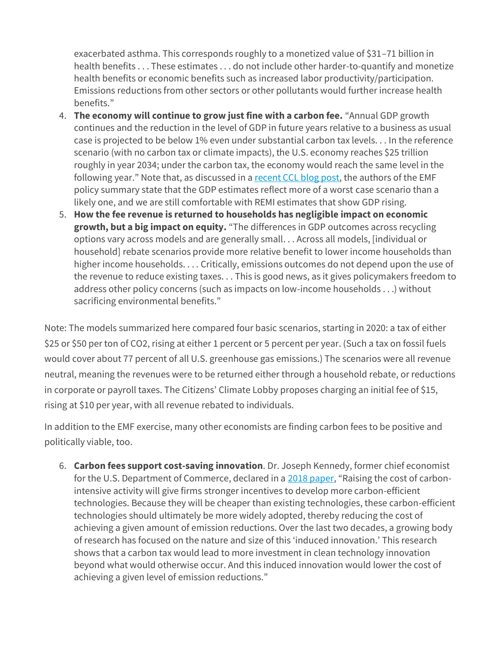exacerbated asthma. This corresponds roughly to a monetized value of \$31–71 billion in health benefits . . . These estimates . . . do not include other harder-to-quantify and monetize health benefits or economic benefits such as increased labor productivity/participation. Emissions reductions from other sectors or other pollutants would further increase health benefits."

- 4. **The economy will continue to grow just fine with a carbon fee.** "Annual GDP growth continues and the reduction in the level of GDP in future years relative to a business as usual case is projected to be below 1% even under substantial carbon tax levels. . . In the reference scenario (with no carbon tax or climate impacts), the U.S. economy reaches \$25 trillion roughly in year 2034; under the carbon tax, the economy would reach the same level in the following year." Note that, as discussed in a [recent CCL blog post,](https://citizensclimatelobby.org/recent-economic-modeling-of-revenue-neutral-carbon-tax-scenarios/) the authors of the EMF policy summary state that the GDP estimates reflect more of a worst case scenario than a likely one, and we are still comfortable with REMI estimates that show GDP rising.
- 5. **How the fee revenue is returned to households has negligible impact on economic growth, but a big impact on equity.** "The differences in GDP outcomes across recycling options vary across models and are generally small. . . Across all models, [individual or household] rebate scenarios provide more relative benefit to lower income households than higher income households. . . . Critically, emissions outcomes do not depend upon the use of the revenue to reduce existing taxes. . . This is good news, as it gives policymakers freedom to address other policy concerns (such as impacts on low-income households . . .) without sacrificing environmental benefits."

Note: The models summarized here compared four basic scenarios, starting in 2020: a tax of either \$25 or \$50 per ton of CO2, rising at either 1 percent or 5 percent per year. (Such a tax on fossil fuels would cover about 77 percent of all U.S. greenhouse gas emissions.) The scenarios were all revenue neutral, meaning the revenues were to be returned either through a household rebate, or reductions in corporate or payroll taxes. The Citizens' Climate Lobby proposes charging an initial fee of \$15, rising at \$10 per year, with all revenue rebated to individuals.

In addition to the EMF exercise, many other economists are finding carbon fees to be positive and politically viable, too.

6. **Carbon fees support cost-saving innovation**. Dr. Joseph Kennedy, former chief economist for the U.S. Department of Commerce, declared in a [2018 paper](https://itif.org/publications/2018/06/25/how-induced-innovation-lowers-cost-carbon-tax), "Raising the cost of carbonintensive activity will give firms stronger incentives to develop more carbon-efficient technologies. Because they will be cheaper than existing technologies, these carbon-efficient technologies should ultimately be more widely adopted, thereby reducing the cost of achieving a given amount of emission reductions. Over the last two decades, a growing body of research has focused on the nature and size of this 'induced innovation.' This research shows that a carbon tax would lead to more investment in clean technology innovation beyond what would otherwise occur. And this induced innovation would lower the cost of achieving a given level of emission reductions."